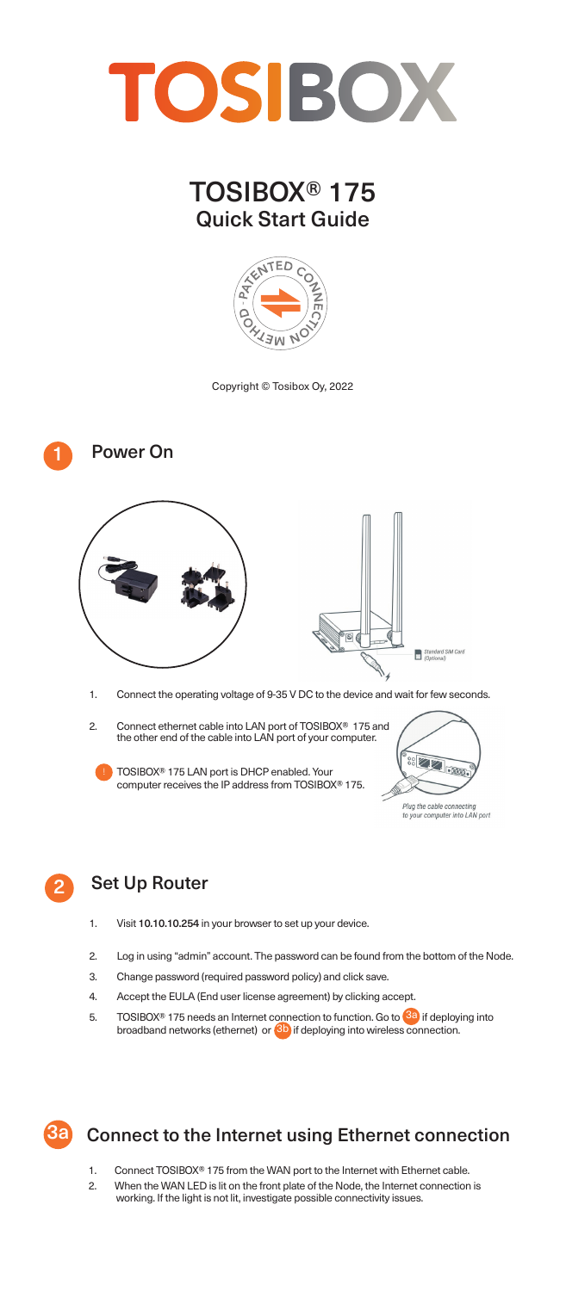

# TOSIBOX® 175 Quick Start Guide



Copyright © Tosibox Oy, 2022



Plug the cable connecting<br>to your computer into LAN port



### Set Up Router

- 1. Visit 10.10.10.254 in your browser to set up your device.
- 2. Log in using "admin" account. The password can be found from the bottom of the Node.
- 3. Change password (required password policy) and click save.
- 4. Accept the EULA (End user license agreement) by clicking accept.
- 5. TOSIBOX<sup>®</sup> 175 needs an Internet connection to function. Go to <sup>3a</sup> if deploying into broadband networks (ethernet) or **3b** if deploying into wireless connection.

## **3a** Connect to the Internet using Ethernet connection

- 1. Connect TOSIBOX<sup>®</sup> 175 from the WAN port to the Internet with Ethernet cable.
- 2. When the WAN LED is lit on the front plate of the Node, the Internet connection is working. If the light is not lit, investigate possible connectivity issues.